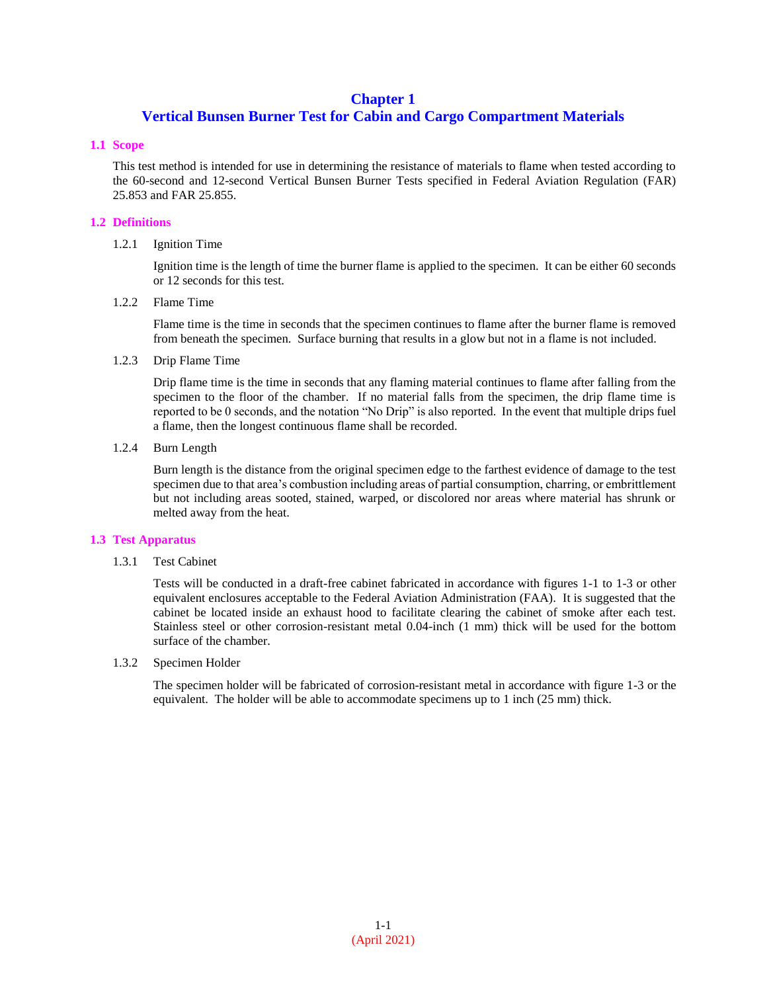# **Chapter 1**

# **Vertical Bunsen Burner Test for Cabin and Cargo Compartment Materials**

#### **1.1 Scope**

This test method is intended for use in determining the resistance of materials to flame when tested according to the 60-second and 12-second Vertical Bunsen Burner Tests specified in Federal Aviation Regulation (FAR) 25.853 and FAR 25.855.

## **1.2 Definitions**

#### 1.2.1 Ignition Time

Ignition time is the length of time the burner flame is applied to the specimen. It can be either 60 seconds or 12 seconds for this test.

1.2.2 Flame Time

Flame time is the time in seconds that the specimen continues to flame after the burner flame is removed from beneath the specimen. Surface burning that results in a glow but not in a flame is not included.

#### 1.2.3 Drip Flame Time

Drip flame time is the time in seconds that any flaming material continues to flame after falling from the specimen to the floor of the chamber. If no material falls from the specimen, the drip flame time is reported to be 0 seconds, and the notation "No Drip" is also reported. In the event that multiple drips fuel a flame, then the longest continuous flame shall be recorded.

## 1.2.4 Burn Length

Burn length is the distance from the original specimen edge to the farthest evidence of damage to the test specimen due to that area's combustion including areas of partial consumption, charring, or embrittlement but not including areas sooted, stained, warped, or discolored nor areas where material has shrunk or melted away from the heat.

# **1.3 Test Apparatus**

1.3.1 Test Cabinet

Tests will be conducted in a draft-free cabinet fabricated in accordance with figures 1-1 to 1-3 or other equivalent enclosures acceptable to the Federal Aviation Administration (FAA). It is suggested that the cabinet be located inside an exhaust hood to facilitate clearing the cabinet of smoke after each test. Stainless steel or other corrosion-resistant metal 0.04-inch (1 mm) thick will be used for the bottom surface of the chamber.

1.3.2 Specimen Holder

The specimen holder will be fabricated of corrosion-resistant metal in accordance with figure 1-3 or the equivalent. The holder will be able to accommodate specimens up to 1 inch (25 mm) thick.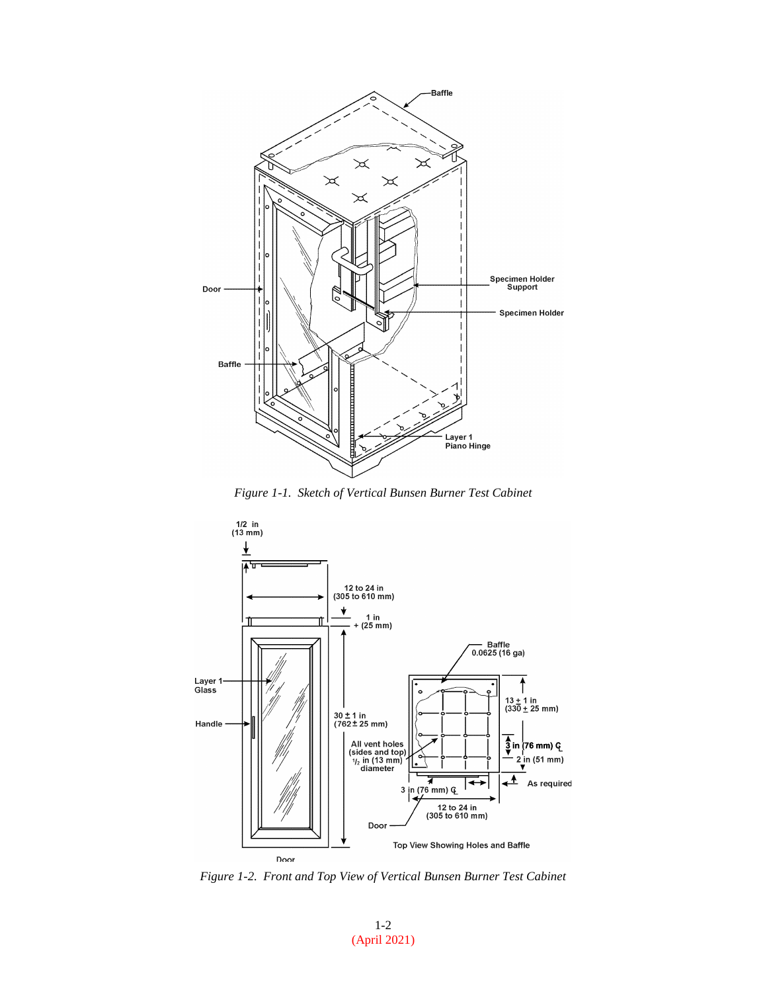

*Figure 1-1. Sketch of Vertical Bunsen Burner Test Cabinet*



*Figure 1-2. Front and Top View of Vertical Bunsen Burner Test Cabinet*

1-2 (April 2021)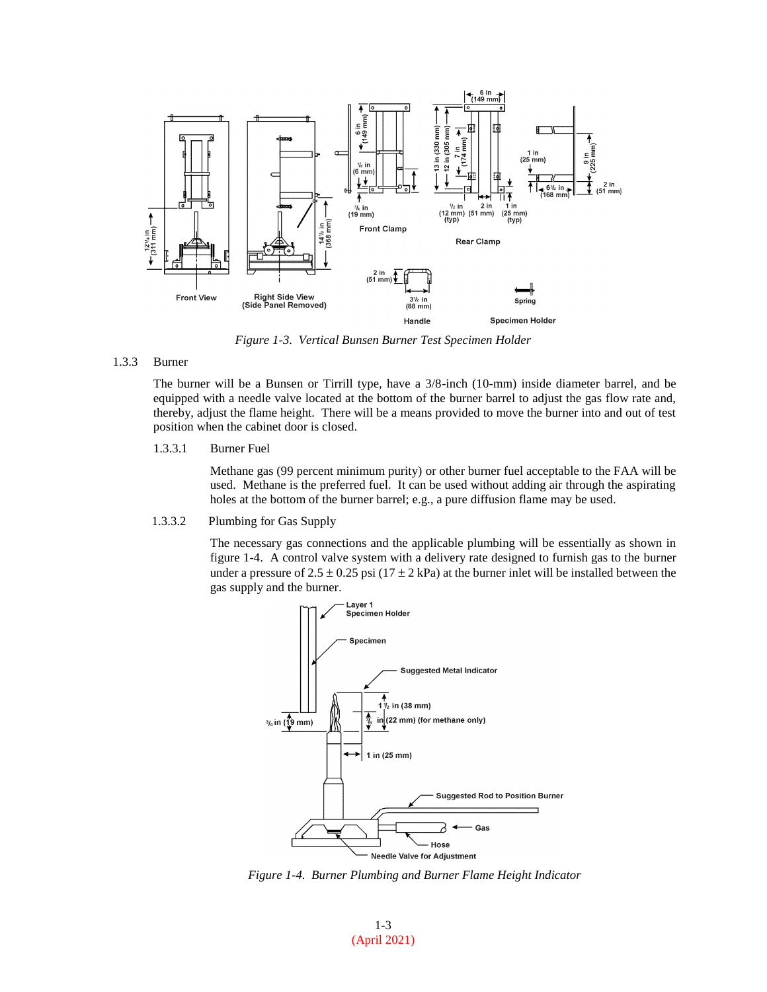

*Figure 1-3. Vertical Bunsen Burner Test Specimen Holder*

#### 1.3.3 Burner

The burner will be a Bunsen or Tirrill type, have a 3/8-inch (10-mm) inside diameter barrel, and be equipped with a needle valve located at the bottom of the burner barrel to adjust the gas flow rate and, thereby, adjust the flame height. There will be a means provided to move the burner into and out of test position when the cabinet door is closed.

1.3.3.1 Burner Fuel

Methane gas (99 percent minimum purity) or other burner fuel acceptable to the FAA will be used. Methane is the preferred fuel. It can be used without adding air through the aspirating holes at the bottom of the burner barrel; e.g., a pure diffusion flame may be used.

1.3.3.2 Plumbing for Gas Supply

The necessary gas connections and the applicable plumbing will be essentially as shown in figure 1-4. A control valve system with a delivery rate designed to furnish gas to the burner under a pressure of  $2.5 \pm 0.25$  psi (17  $\pm$  2 kPa) at the burner inlet will be installed between the gas supply and the burner.



*Figure 1-4. Burner Plumbing and Burner Flame Height Indicator*

1-3 (April 2021)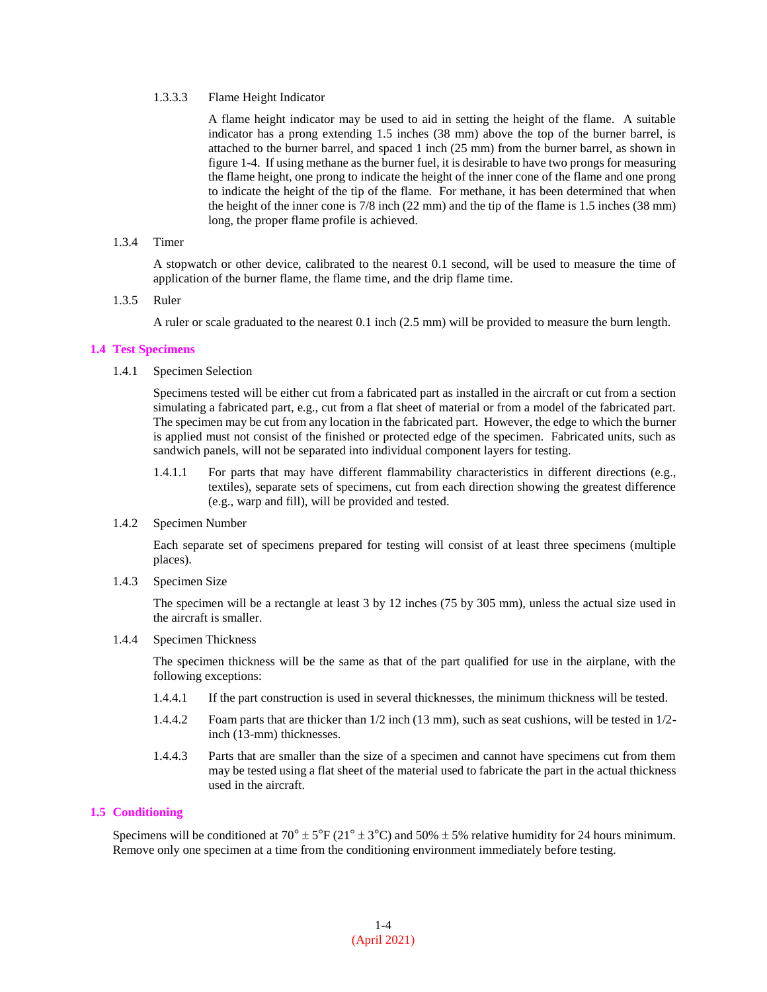#### 1.3.3.3 Flame Height Indicator

A flame height indicator may be used to aid in setting the height of the flame. A suitable indicator has a prong extending 1.5 inches (38 mm) above the top of the burner barrel, is attached to the burner barrel, and spaced 1 inch (25 mm) from the burner barrel, as shown in figure 1-4. If using methane as the burner fuel, it is desirable to have two prongs for measuring the flame height, one prong to indicate the height of the inner cone of the flame and one prong to indicate the height of the tip of the flame. For methane, it has been determined that when the height of the inner cone is 7/8 inch (22 mm) and the tip of the flame is 1.5 inches (38 mm) long, the proper flame profile is achieved.

# 1.3.4 Timer

A stopwatch or other device, calibrated to the nearest 0.1 second, will be used to measure the time of application of the burner flame, the flame time, and the drip flame time.

#### 1.3.5 Ruler

A ruler or scale graduated to the nearest 0.1 inch (2.5 mm) will be provided to measure the burn length.

#### **1.4 Test Specimens**

1.4.1 Specimen Selection

Specimens tested will be either cut from a fabricated part as installed in the aircraft or cut from a section simulating a fabricated part, e.g., cut from a flat sheet of material or from a model of the fabricated part. The specimen may be cut from any location in the fabricated part. However, the edge to which the burner is applied must not consist of the finished or protected edge of the specimen. Fabricated units, such as sandwich panels, will not be separated into individual component layers for testing.

- 1.4.1.1 For parts that may have different flammability characteristics in different directions (e.g., textiles), separate sets of specimens, cut from each direction showing the greatest difference (e.g., warp and fill), will be provided and tested.
- 1.4.2 Specimen Number

Each separate set of specimens prepared for testing will consist of at least three specimens (multiple places).

1.4.3 Specimen Size

The specimen will be a rectangle at least 3 by 12 inches (75 by 305 mm), unless the actual size used in the aircraft is smaller.

# 1.4.4 Specimen Thickness

The specimen thickness will be the same as that of the part qualified for use in the airplane, with the following exceptions:

- 1.4.4.1 If the part construction is used in several thicknesses, the minimum thickness will be tested.
- 1.4.4.2 Foam parts that are thicker than 1/2 inch (13 mm), such as seat cushions, will be tested in 1/2 inch (13-mm) thicknesses.
- 1.4.4.3 Parts that are smaller than the size of a specimen and cannot have specimens cut from them may be tested using a flat sheet of the material used to fabricate the part in the actual thickness used in the aircraft.

# **1.5 Conditioning**

Specimens will be conditioned at  $70^{\circ} \pm 5^{\circ}$  F ( $21^{\circ} \pm 3^{\circ}$ C) and  $50\% \pm 5\%$  relative humidity for 24 hours minimum. Remove only one specimen at a time from the conditioning environment immediately before testing.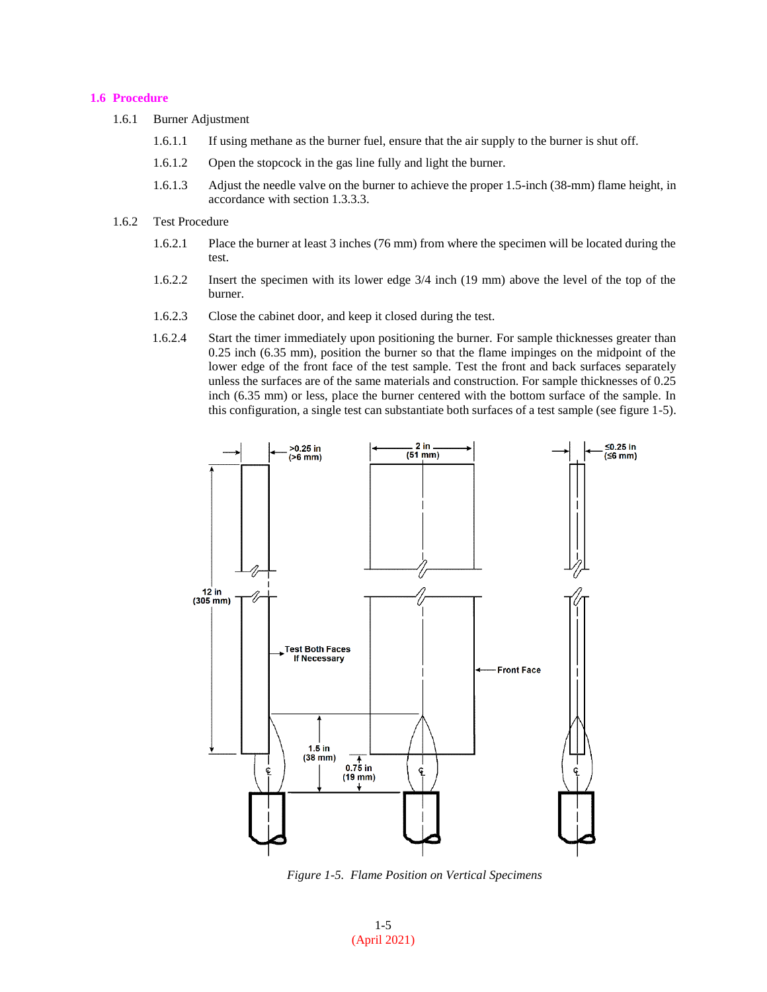# **1.6 Procedure**

- 1.6.1 Burner Adjustment
	- 1.6.1.1 If using methane as the burner fuel, ensure that the air supply to the burner is shut off.
	- 1.6.1.2 Open the stopcock in the gas line fully and light the burner.
	- 1.6.1.3 Adjust the needle valve on the burner to achieve the proper 1.5-inch (38-mm) flame height, in accordance with section 1.3.3.3.
- 1.6.2 Test Procedure
	- 1.6.2.1 Place the burner at least 3 inches (76 mm) from where the specimen will be located during the test.
	- 1.6.2.2 Insert the specimen with its lower edge 3/4 inch (19 mm) above the level of the top of the burner.
	- 1.6.2.3 Close the cabinet door, and keep it closed during the test.
	- 1.6.2.4 Start the timer immediately upon positioning the burner. For sample thicknesses greater than 0.25 inch (6.35 mm), position the burner so that the flame impinges on the midpoint of the lower edge of the front face of the test sample. Test the front and back surfaces separately unless the surfaces are of the same materials and construction. For sample thicknesses of 0.25 inch (6.35 mm) or less, place the burner centered with the bottom surface of the sample. In this configuration, a single test can substantiate both surfaces of a test sample (see figure 1-5).



*Figure 1-5. Flame Position on Vertical Specimens*

1-5 (April 2021)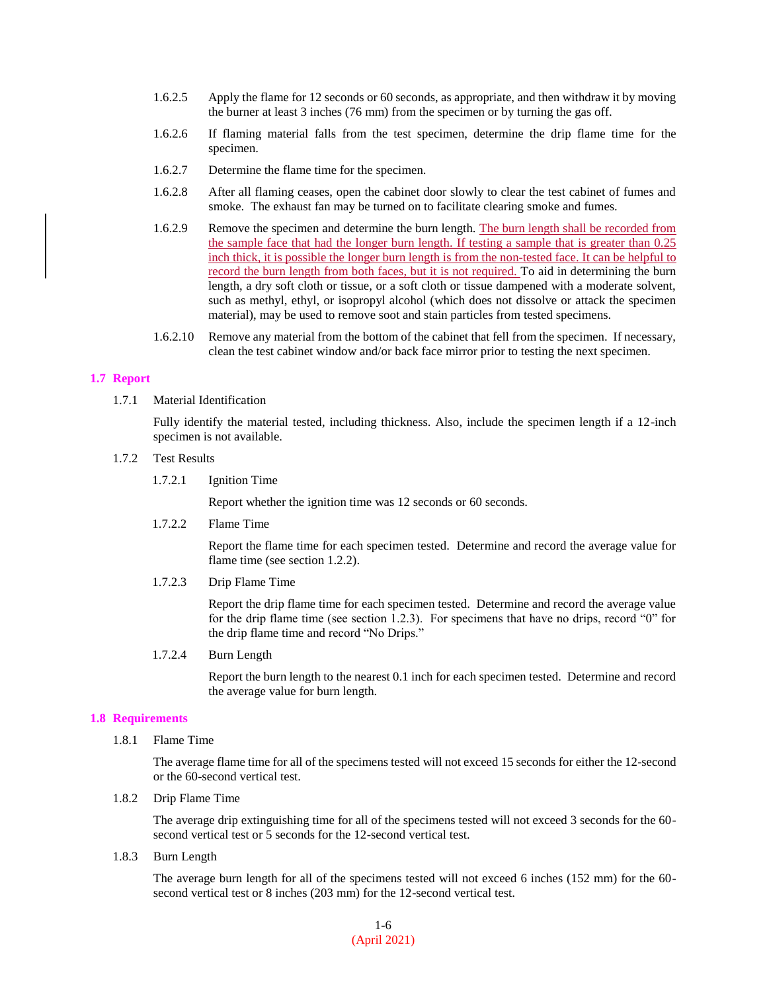- 1.6.2.5 Apply the flame for 12 seconds or 60 seconds, as appropriate, and then withdraw it by moving the burner at least 3 inches (76 mm) from the specimen or by turning the gas off.
- 1.6.2.6 If flaming material falls from the test specimen, determine the drip flame time for the specimen.
- 1.6.2.7 Determine the flame time for the specimen.
- 1.6.2.8 After all flaming ceases, open the cabinet door slowly to clear the test cabinet of fumes and smoke. The exhaust fan may be turned on to facilitate clearing smoke and fumes.
- 1.6.2.9 Remove the specimen and determine the burn length. The burn length shall be recorded from the sample face that had the longer burn length. If testing a sample that is greater than 0.25 inch thick, it is possible the longer burn length is from the non-tested face. It can be helpful to record the burn length from both faces, but it is not required. To aid in determining the burn length, a dry soft cloth or tissue, or a soft cloth or tissue dampened with a moderate solvent, such as methyl, ethyl, or isopropyl alcohol (which does not dissolve or attack the specimen material), may be used to remove soot and stain particles from tested specimens.
- 1.6.2.10 Remove any material from the bottom of the cabinet that fell from the specimen. If necessary, clean the test cabinet window and/or back face mirror prior to testing the next specimen.

## **1.7 Report**

1.7.1 Material Identification

Fully identify the material tested, including thickness. Also, include the specimen length if a 12-inch specimen is not available.

- 1.7.2 Test Results
	- 1.7.2.1 Ignition Time

Report whether the ignition time was 12 seconds or 60 seconds.

1.7.2.2 Flame Time

Report the flame time for each specimen tested. Determine and record the average value for flame time (see section 1.2.2).

1.7.2.3 Drip Flame Time

Report the drip flame time for each specimen tested. Determine and record the average value for the drip flame time (see section 1.2.3). For specimens that have no drips, record "0" for the drip flame time and record "No Drips."

1.7.2.4 Burn Length

Report the burn length to the nearest 0.1 inch for each specimen tested. Determine and record the average value for burn length.

#### **1.8 Requirements**

1.8.1 Flame Time

The average flame time for all of the specimens tested will not exceed 15 seconds for either the 12-second or the 60-second vertical test.

1.8.2 Drip Flame Time

The average drip extinguishing time for all of the specimens tested will not exceed 3 seconds for the 60 second vertical test or 5 seconds for the 12-second vertical test.

1.8.3 Burn Length

The average burn length for all of the specimens tested will not exceed 6 inches (152 mm) for the 60 second vertical test or 8 inches (203 mm) for the 12-second vertical test.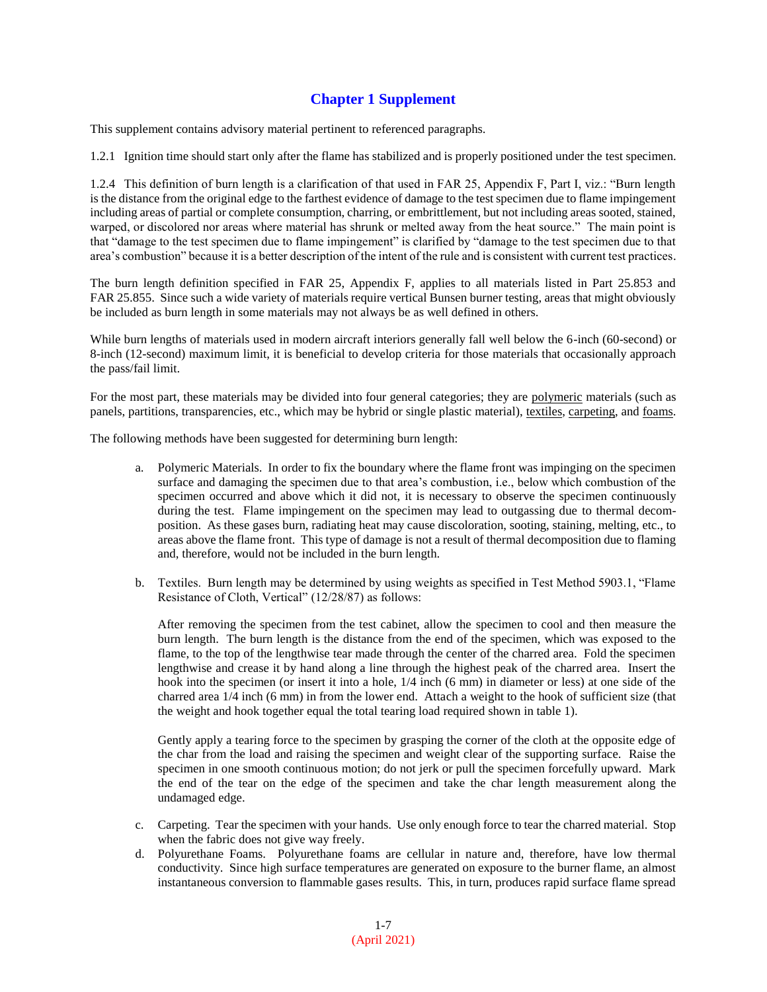# **Chapter 1 Supplement**

This supplement contains advisory material pertinent to referenced paragraphs.

1.2.1 Ignition time should start only after the flame has stabilized and is properly positioned under the test specimen.

1.2.4 This definition of burn length is a clarification of that used in FAR 25, Appendix F, Part I, viz.: "Burn length is the distance from the original edge to the farthest evidence of damage to the test specimen due to flame impingement including areas of partial or complete consumption, charring, or embrittlement, but not including areas sooted, stained, warped, or discolored nor areas where material has shrunk or melted away from the heat source." The main point is that "damage to the test specimen due to flame impingement" is clarified by "damage to the test specimen due to that area's combustion" because it is a better description of the intent of the rule and is consistent with current test practices.

The burn length definition specified in FAR 25, Appendix F, applies to all materials listed in Part 25.853 and FAR 25.855. Since such a wide variety of materials require vertical Bunsen burner testing, areas that might obviously be included as burn length in some materials may not always be as well defined in others.

While burn lengths of materials used in modern aircraft interiors generally fall well below the 6-inch (60-second) or 8-inch (12-second) maximum limit, it is beneficial to develop criteria for those materials that occasionally approach the pass/fail limit.

For the most part, these materials may be divided into four general categories; they are polymeric materials (such as panels, partitions, transparencies, etc., which may be hybrid or single plastic material), textiles, carpeting, and foams.

The following methods have been suggested for determining burn length:

- a. Polymeric Materials. In order to fix the boundary where the flame front was impinging on the specimen surface and damaging the specimen due to that area's combustion, i.e., below which combustion of the specimen occurred and above which it did not, it is necessary to observe the specimen continuously during the test. Flame impingement on the specimen may lead to outgassing due to thermal decomposition. As these gases burn, radiating heat may cause discoloration, sooting, staining, melting, etc., to areas above the flame front. This type of damage is not a result of thermal decomposition due to flaming and, therefore, would not be included in the burn length.
- b. Textiles. Burn length may be determined by using weights as specified in Test Method 5903.1, "Flame Resistance of Cloth, Vertical" (12/28/87) as follows:

After removing the specimen from the test cabinet, allow the specimen to cool and then measure the burn length. The burn length is the distance from the end of the specimen, which was exposed to the flame, to the top of the lengthwise tear made through the center of the charred area. Fold the specimen lengthwise and crease it by hand along a line through the highest peak of the charred area. Insert the hook into the specimen (or insert it into a hole, 1/4 inch (6 mm) in diameter or less) at one side of the charred area 1/4 inch (6 mm) in from the lower end. Attach a weight to the hook of sufficient size (that the weight and hook together equal the total tearing load required shown in table 1).

Gently apply a tearing force to the specimen by grasping the corner of the cloth at the opposite edge of the char from the load and raising the specimen and weight clear of the supporting surface. Raise the specimen in one smooth continuous motion; do not jerk or pull the specimen forcefully upward. Mark the end of the tear on the edge of the specimen and take the char length measurement along the undamaged edge.

- c. Carpeting. Tear the specimen with your hands. Use only enough force to tear the charred material. Stop when the fabric does not give way freely.
- d. Polyurethane Foams. Polyurethane foams are cellular in nature and, therefore, have low thermal conductivity. Since high surface temperatures are generated on exposure to the burner flame, an almost instantaneous conversion to flammable gases results. This, in turn, produces rapid surface flame spread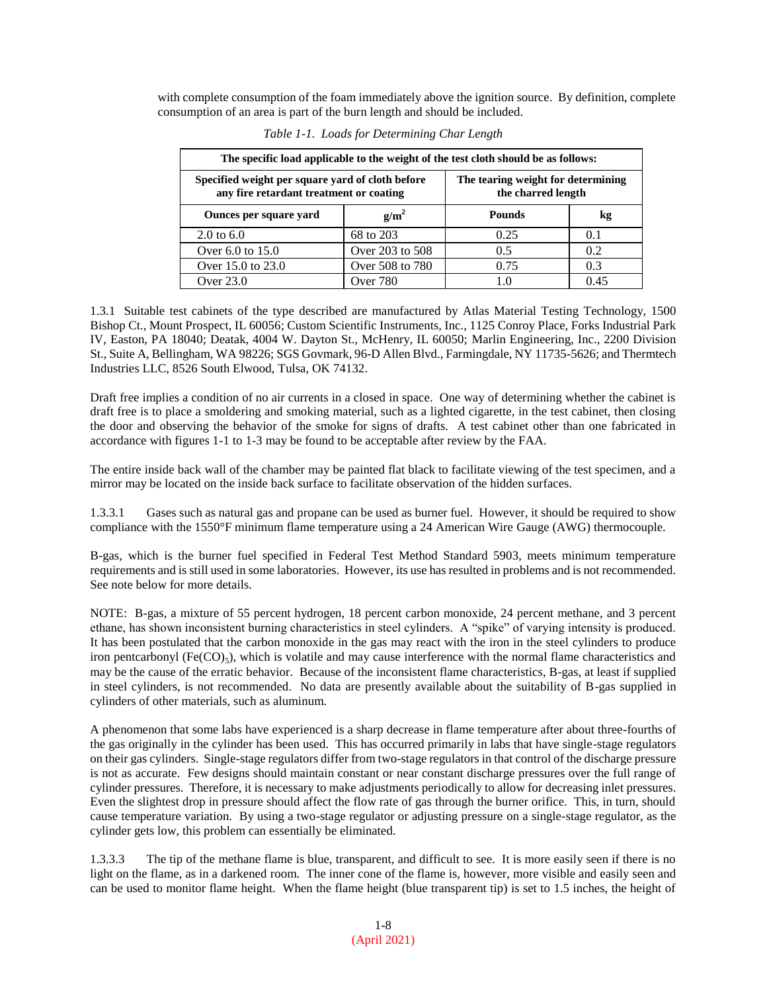with complete consumption of the foam immediately above the ignition source. By definition, complete consumption of an area is part of the burn length and should be included.

| The specific load applicable to the weight of the test cloth should be as follows:          |                 |                                                          |      |
|---------------------------------------------------------------------------------------------|-----------------|----------------------------------------------------------|------|
| Specified weight per square yard of cloth before<br>any fire retardant treatment or coating |                 | The tearing weight for determining<br>the charred length |      |
| Ounces per square yard                                                                      | $g/m^2$         | <b>Pounds</b>                                            | kg   |
| 2.0 to $6.0$                                                                                | 68 to 203       | 0.25                                                     | 0.1  |
| Over 6.0 to 15.0                                                                            | Over 203 to 508 | 0.5                                                      | 0.2  |
| Over 15.0 to 23.0                                                                           | Over 508 to 780 | 0.75                                                     | 0.3  |
| Over 23.0                                                                                   | Over 780        |                                                          | 0.45 |

*Table 1-1. Loads for Determining Char Length*

1.3.1 Suitable test cabinets of the type described are manufactured by Atlas Material Testing Technology, 1500 Bishop Ct., Mount Prospect, IL 60056; Custom Scientific Instruments, Inc., 1125 Conroy Place, Forks Industrial Park IV, Easton, PA 18040; Deatak, 4004 W. Dayton St., McHenry, IL 60050; Marlin Engineering, Inc., 2200 Division St., Suite A, Bellingham, WA 98226; SGS Govmark, 96-D Allen Blvd., Farmingdale, NY 11735-5626; and Thermtech Industries LLC, 8526 South Elwood, Tulsa, OK 74132.

Draft free implies a condition of no air currents in a closed in space. One way of determining whether the cabinet is draft free is to place a smoldering and smoking material, such as a lighted cigarette, in the test cabinet, then closing the door and observing the behavior of the smoke for signs of drafts. A test cabinet other than one fabricated in accordance with figures 1-1 to 1-3 may be found to be acceptable after review by the FAA.

The entire inside back wall of the chamber may be painted flat black to facilitate viewing of the test specimen, and a mirror may be located on the inside back surface to facilitate observation of the hidden surfaces.

1.3.3.1 Gases such as natural gas and propane can be used as burner fuel. However, it should be required to show compliance with the 1550°F minimum flame temperature using a 24 American Wire Gauge (AWG) thermocouple.

B-gas, which is the burner fuel specified in Federal Test Method Standard 5903, meets minimum temperature requirements and is still used in some laboratories. However, its use has resulted in problems and is not recommended. See note below for more details.

NOTE: B-gas, a mixture of 55 percent hydrogen, 18 percent carbon monoxide, 24 percent methane, and 3 percent ethane, has shown inconsistent burning characteristics in steel cylinders. A "spike" of varying intensity is produced. It has been postulated that the carbon monoxide in the gas may react with the iron in the steel cylinders to produce iron pentcarbonyl (Fe(CO)<sub>5</sub>), which is volatile and may cause interference with the normal flame characteristics and may be the cause of the erratic behavior. Because of the inconsistent flame characteristics, B-gas, at least if supplied in steel cylinders, is not recommended. No data are presently available about the suitability of B-gas supplied in cylinders of other materials, such as aluminum.

A phenomenon that some labs have experienced is a sharp decrease in flame temperature after about three-fourths of the gas originally in the cylinder has been used. This has occurred primarily in labs that have single-stage regulators on their gas cylinders. Single-stage regulators differ from two-stage regulators in that control of the discharge pressure is not as accurate. Few designs should maintain constant or near constant discharge pressures over the full range of cylinder pressures. Therefore, it is necessary to make adjustments periodically to allow for decreasing inlet pressures. Even the slightest drop in pressure should affect the flow rate of gas through the burner orifice. This, in turn, should cause temperature variation. By using a two-stage regulator or adjusting pressure on a single-stage regulator, as the cylinder gets low, this problem can essentially be eliminated.

1.3.3.3 The tip of the methane flame is blue, transparent, and difficult to see. It is more easily seen if there is no light on the flame, as in a darkened room. The inner cone of the flame is, however, more visible and easily seen and can be used to monitor flame height. When the flame height (blue transparent tip) is set to 1.5 inches, the height of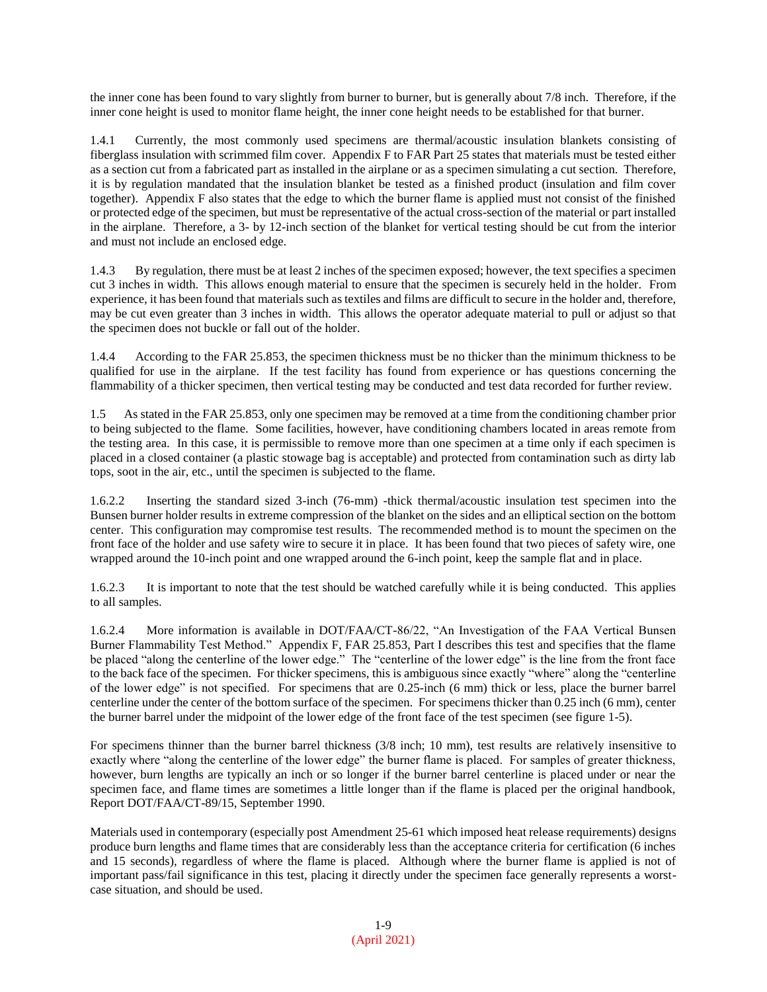the inner cone has been found to vary slightly from burner to burner, but is generally about 7/8 inch. Therefore, if the inner cone height is used to monitor flame height, the inner cone height needs to be established for that burner.

1.4.1 Currently, the most commonly used specimens are thermal/acoustic insulation blankets consisting of fiberglass insulation with scrimmed film cover. Appendix F to FAR Part 25 states that materials must be tested either as a section cut from a fabricated part as installed in the airplane or as a specimen simulating a cut section. Therefore, it is by regulation mandated that the insulation blanket be tested as a finished product (insulation and film cover together). Appendix F also states that the edge to which the burner flame is applied must not consist of the finished or protected edge of the specimen, but must be representative of the actual cross-section of the material or part installed in the airplane. Therefore, a 3- by 12-inch section of the blanket for vertical testing should be cut from the interior and must not include an enclosed edge.

1.4.3 By regulation, there must be at least 2 inches of the specimen exposed; however, the text specifies a specimen cut 3 inches in width. This allows enough material to ensure that the specimen is securely held in the holder. From experience, it has been found that materials such as textiles and films are difficult to secure in the holder and, therefore, may be cut even greater than 3 inches in width. This allows the operator adequate material to pull or adjust so that the specimen does not buckle or fall out of the holder.

1.4.4 According to the FAR 25.853, the specimen thickness must be no thicker than the minimum thickness to be qualified for use in the airplane. If the test facility has found from experience or has questions concerning the flammability of a thicker specimen, then vertical testing may be conducted and test data recorded for further review.

1.5 As stated in the FAR 25.853, only one specimen may be removed at a time from the conditioning chamber prior to being subjected to the flame. Some facilities, however, have conditioning chambers located in areas remote from the testing area. In this case, it is permissible to remove more than one specimen at a time only if each specimen is placed in a closed container (a plastic stowage bag is acceptable) and protected from contamination such as dirty lab tops, soot in the air, etc., until the specimen is subjected to the flame.

1.6.2.2 Inserting the standard sized 3-inch (76-mm) -thick thermal/acoustic insulation test specimen into the Bunsen burner holder results in extreme compression of the blanket on the sides and an elliptical section on the bottom center. This configuration may compromise test results. The recommended method is to mount the specimen on the front face of the holder and use safety wire to secure it in place. It has been found that two pieces of safety wire, one wrapped around the 10-inch point and one wrapped around the 6-inch point, keep the sample flat and in place.

1.6.2.3 It is important to note that the test should be watched carefully while it is being conducted. This applies to all samples.

1.6.2.4 More information is available in DOT/FAA/CT-86/22, "An Investigation of the FAA Vertical Bunsen Burner Flammability Test Method." Appendix F, FAR 25.853, Part I describes this test and specifies that the flame be placed "along the centerline of the lower edge." The "centerline of the lower edge" is the line from the front face to the back face of the specimen. For thicker specimens, this is ambiguous since exactly "where" along the "centerline of the lower edge" is not specified. For specimens that are 0.25-inch (6 mm) thick or less, place the burner barrel centerline under the center of the bottom surface of the specimen. For specimens thicker than 0.25 inch (6 mm), center the burner barrel under the midpoint of the lower edge of the front face of the test specimen (see figure 1-5).

For specimens thinner than the burner barrel thickness (3/8 inch; 10 mm), test results are relatively insensitive to exactly where "along the centerline of the lower edge" the burner flame is placed. For samples of greater thickness, however, burn lengths are typically an inch or so longer if the burner barrel centerline is placed under or near the specimen face, and flame times are sometimes a little longer than if the flame is placed per the original handbook, Report DOT/FAA/CT-89/15, September 1990.

Materials used in contemporary (especially post Amendment 25-61 which imposed heat release requirements) designs produce burn lengths and flame times that are considerably less than the acceptance criteria for certification (6 inches and 15 seconds), regardless of where the flame is placed. Although where the burner flame is applied is not of important pass/fail significance in this test, placing it directly under the specimen face generally represents a worstcase situation, and should be used.